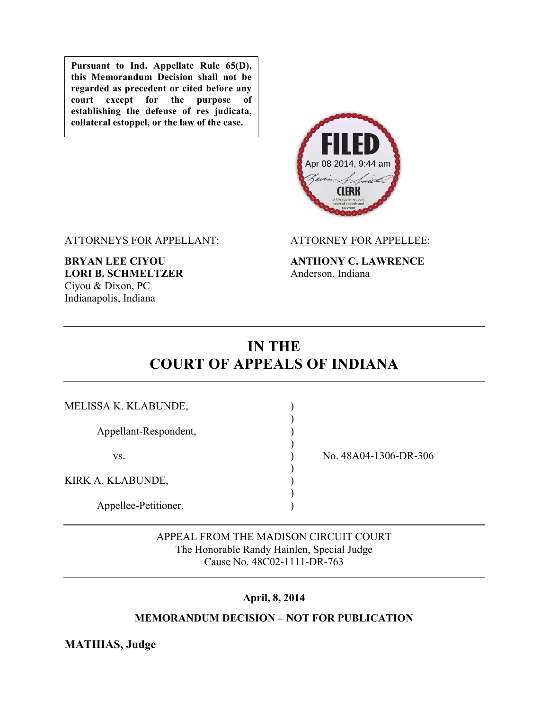**Pursuant to Ind. Appellate Rule 65(D), this Memorandum Decision shall not be regarded as precedent or cited before any court except for the purpose of establishing the defense of res judicata, collateral estoppel, or the law of the case.**



ATTORNEYS FOR APPELLANT: ATTORNEY FOR APPELLEE:

**LORI B. SCHMELTZER** Anderson, Indiana Ciyou & Dixon, PC Indianapolis, Indiana

**BRYAN LEE CIYOU ANTHONY C. LAWRENCE**

# **IN THE COURT OF APPEALS OF INDIANA**

| MELISSA K. KLABUNDE,  |                       |
|-----------------------|-----------------------|
| Appellant-Respondent, |                       |
| VS.                   | No. 48A04-1306-DR-306 |
| KIRK A. KLABUNDE,     |                       |
| Appellee-Petitioner.  |                       |

APPEAL FROM THE MADISON CIRCUIT COURT The Honorable Randy Hainlen, Special Judge Cause No. 48C02-1111-DR-763

# **April, 8, 2014**

# **MEMORANDUM DECISION – NOT FOR PUBLICATION**

**MATHIAS, Judge**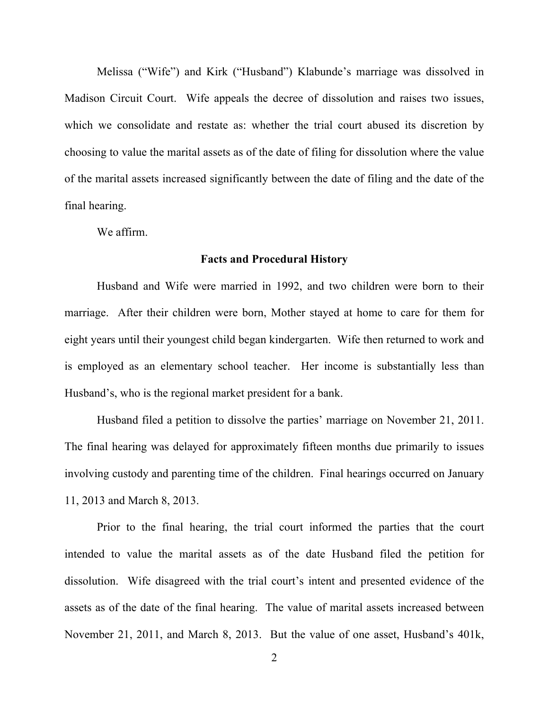Melissa ("Wife") and Kirk ("Husband") Klabunde's marriage was dissolved in Madison Circuit Court. Wife appeals the decree of dissolution and raises two issues, which we consolidate and restate as: whether the trial court abused its discretion by choosing to value the marital assets as of the date of filing for dissolution where the value of the marital assets increased significantly between the date of filing and the date of the final hearing.

We affirm.

#### **Facts and Procedural History**

Husband and Wife were married in 1992, and two children were born to their marriage. After their children were born, Mother stayed at home to care for them for eight years until their youngest child began kindergarten. Wife then returned to work and is employed as an elementary school teacher. Her income is substantially less than Husband's, who is the regional market president for a bank.

Husband filed a petition to dissolve the parties' marriage on November 21, 2011. The final hearing was delayed for approximately fifteen months due primarily to issues involving custody and parenting time of the children. Final hearings occurred on January 11, 2013 and March 8, 2013.

Prior to the final hearing, the trial court informed the parties that the court intended to value the marital assets as of the date Husband filed the petition for dissolution. Wife disagreed with the trial court's intent and presented evidence of the assets as of the date of the final hearing. The value of marital assets increased between November 21, 2011, and March 8, 2013. But the value of one asset, Husband's 401k,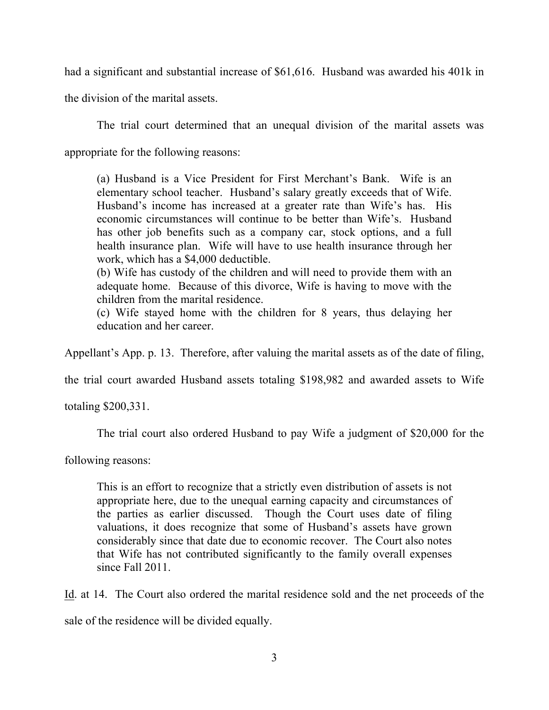had a significant and substantial increase of \$61,616. Husband was awarded his 401k in

the division of the marital assets.

The trial court determined that an unequal division of the marital assets was

appropriate for the following reasons:

(a) Husband is a Vice President for First Merchant's Bank. Wife is an elementary school teacher. Husband's salary greatly exceeds that of Wife. Husband's income has increased at a greater rate than Wife's has. His economic circumstances will continue to be better than Wife's. Husband has other job benefits such as a company car, stock options, and a full health insurance plan. Wife will have to use health insurance through her work, which has a \$4,000 deductible.

(b) Wife has custody of the children and will need to provide them with an adequate home. Because of this divorce, Wife is having to move with the children from the marital residence.

(c) Wife stayed home with the children for 8 years, thus delaying her education and her career.

Appellant's App. p. 13. Therefore, after valuing the marital assets as of the date of filing,

the trial court awarded Husband assets totaling \$198,982 and awarded assets to Wife

totaling \$200,331.

The trial court also ordered Husband to pay Wife a judgment of \$20,000 for the

following reasons:

This is an effort to recognize that a strictly even distribution of assets is not appropriate here, due to the unequal earning capacity and circumstances of the parties as earlier discussed. Though the Court uses date of filing valuations, it does recognize that some of Husband's assets have grown considerably since that date due to economic recover. The Court also notes that Wife has not contributed significantly to the family overall expenses since Fall 2011.

Id. at 14. The Court also ordered the marital residence sold and the net proceeds of the

sale of the residence will be divided equally.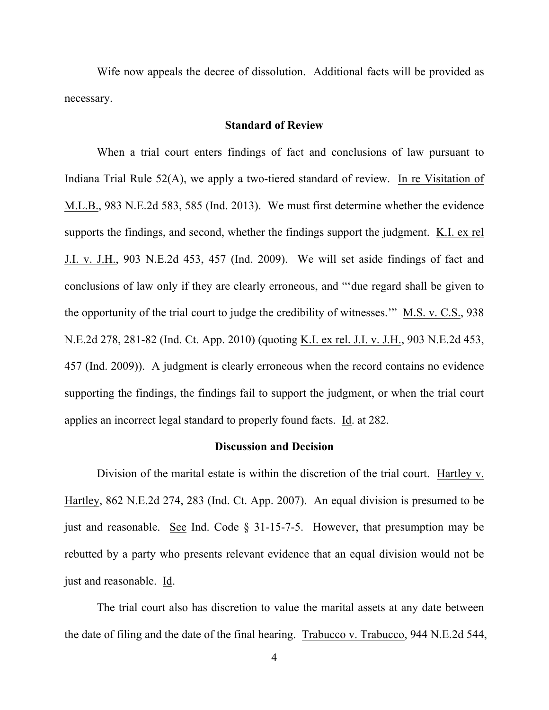Wife now appeals the decree of dissolution. Additional facts will be provided as necessary.

## **Standard of Review**

When a trial court enters findings of fact and conclusions of law pursuant to Indiana Trial Rule 52(A), we apply a two-tiered standard of review. In re Visitation of M.L.B., 983 N.E.2d 583, 585 (Ind. 2013). We must first determine whether the evidence supports the findings, and second, whether the findings support the judgment. K.I. ex rel J.I. v. J.H., 903 N.E.2d 453, 457 (Ind. 2009). We will set aside findings of fact and conclusions of law only if they are clearly erroneous, and "'due regard shall be given to the opportunity of the trial court to judge the credibility of witnesses.'" M.S. v. C.S., 938 N.E.2d 278, 281-82 (Ind. Ct. App. 2010) (quoting K.I. ex rel. J.I. v. J.H., 903 N.E.2d 453, 457 (Ind. 2009)). A judgment is clearly erroneous when the record contains no evidence supporting the findings, the findings fail to support the judgment, or when the trial court applies an incorrect legal standard to properly found facts. Id. at 282.

### **Discussion and Decision**

Division of the marital estate is within the discretion of the trial court. Hartley v. Hartley, 862 N.E.2d 274, 283 (Ind. Ct. App. 2007). An equal division is presumed to be just and reasonable. See Ind. Code § 31-15-7-5. However, that presumption may be rebutted by a party who presents relevant evidence that an equal division would not be just and reasonable. Id.

The trial court also has discretion to value the marital assets at any date between the date of filing and the date of the final hearing. Trabucco v. Trabucco, 944 N.E.2d 544,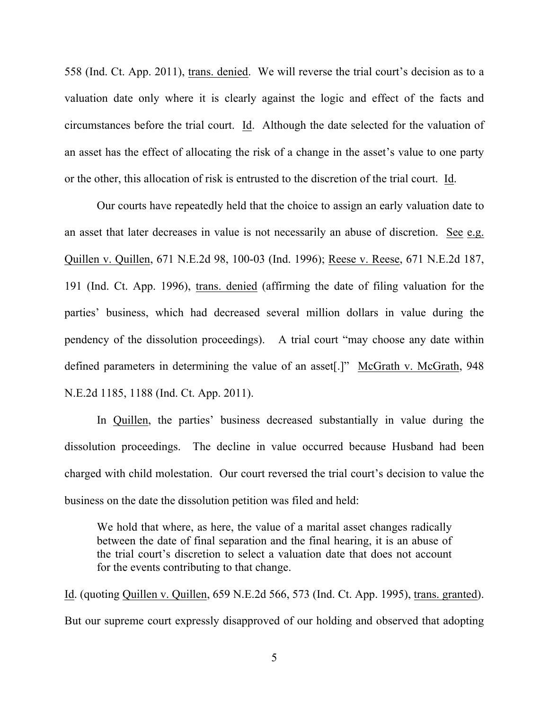558 (Ind. Ct. App. 2011), trans. denied. We will reverse the trial court's decision as to a valuation date only where it is clearly against the logic and effect of the facts and circumstances before the trial court. Id. Although the date selected for the valuation of an asset has the effect of allocating the risk of a change in the asset's value to one party or the other, this allocation of risk is entrusted to the discretion of the trial court. Id.

Our courts have repeatedly held that the choice to assign an early valuation date to an asset that later decreases in value is not necessarily an abuse of discretion. See e.g. Quillen v. Quillen, 671 N.E.2d 98, 100-03 (Ind. 1996); Reese v. Reese, 671 N.E.2d 187, 191 (Ind. Ct. App. 1996), trans. denied (affirming the date of filing valuation for the parties' business, which had decreased several million dollars in value during the pendency of the dissolution proceedings). A trial court "may choose any date within defined parameters in determining the value of an asset[.]" McGrath v. McGrath, 948 N.E.2d 1185, 1188 (Ind. Ct. App. 2011).

In Quillen, the parties' business decreased substantially in value during the dissolution proceedings. The decline in value occurred because Husband had been charged with child molestation. Our court reversed the trial court's decision to value the business on the date the dissolution petition was filed and held:

We hold that where, as here, the value of a marital asset changes radically between the date of final separation and the final hearing, it is an abuse of the trial court's discretion to select a valuation date that does not account for the events contributing to that change.

Id. (quoting Quillen v. Quillen, 659 N.E.2d 566, 573 (Ind. Ct. App. 1995), trans. granted). But our supreme court expressly disapproved of our holding and observed that adopting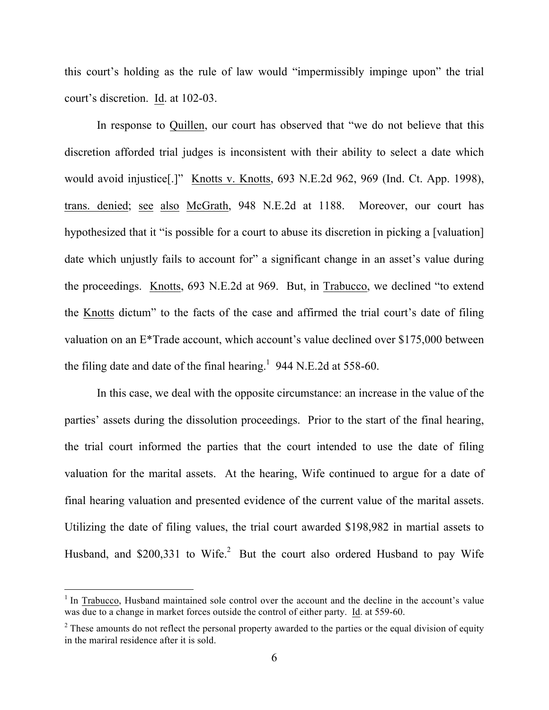this court's holding as the rule of law would "impermissibly impinge upon" the trial court's discretion. Id. at 102-03.

In response to Quillen, our court has observed that "we do not believe that this discretion afforded trial judges is inconsistent with their ability to select a date which would avoid injustice[.]" Knotts v. Knotts, 693 N.E.2d 962, 969 (Ind. Ct. App. 1998), trans. denied; see also McGrath, 948 N.E.2d at 1188. Moreover, our court has hypothesized that it "is possible for a court to abuse its discretion in picking a [valuation] date which unjustly fails to account for" a significant change in an asset's value during the proceedings. Knotts, 693 N.E.2d at 969. But, in Trabucco, we declined "to extend the Knotts dictum" to the facts of the case and affirmed the trial court's date of filing valuation on an E\*Trade account, which account's value declined over \$175,000 between the filing date and date of the final hearing.<sup>1</sup> 944 N.E.2d at 558-60.

In this case, we deal with the opposite circumstance: an increase in the value of the parties' assets during the dissolution proceedings. Prior to the start of the final hearing, the trial court informed the parties that the court intended to use the date of filing valuation for the marital assets. At the hearing, Wife continued to argue for a date of final hearing valuation and presented evidence of the current value of the marital assets. Utilizing the date of filing values, the trial court awarded \$198,982 in martial assets to Husband, and \$200,331 to Wife.<sup>2</sup> But the court also ordered Husband to pay Wife

<sup>&</sup>lt;sup>1</sup> In Trabucco, Husband maintained sole control over the account and the decline in the account's value was due to a change in market forces outside the control of either party. Id. at 559-60.

 $2$  These amounts do not reflect the personal property awarded to the parties or the equal division of equity in the mariral residence after it is sold.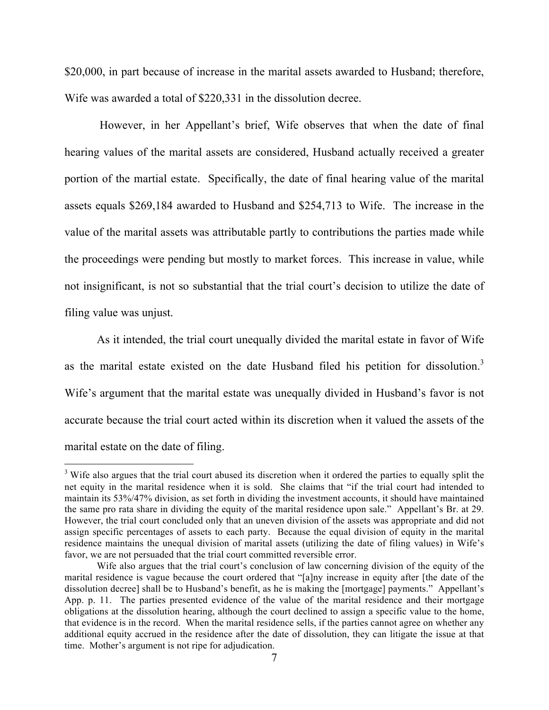\$20,000, in part because of increase in the marital assets awarded to Husband; therefore, Wife was awarded a total of \$220,331 in the dissolution decree.

However, in her Appellant's brief, Wife observes that when the date of final hearing values of the marital assets are considered, Husband actually received a greater portion of the martial estate. Specifically, the date of final hearing value of the marital assets equals \$269,184 awarded to Husband and \$254,713 to Wife. The increase in the value of the marital assets was attributable partly to contributions the parties made while the proceedings were pending but mostly to market forces. This increase in value, while not insignificant, is not so substantial that the trial court's decision to utilize the date of filing value was unjust.

As it intended, the trial court unequally divided the marital estate in favor of Wife as the marital estate existed on the date Husband filed his petition for dissolution.<sup>3</sup> Wife's argument that the marital estate was unequally divided in Husband's favor is not accurate because the trial court acted within its discretion when it valued the assets of the marital estate on the date of filing.

<sup>&</sup>lt;sup>3</sup> Wife also argues that the trial court abused its discretion when it ordered the parties to equally split the net equity in the marital residence when it is sold. She claims that "if the trial court had intended to maintain its 53%/47% division, as set forth in dividing the investment accounts, it should have maintained the same pro rata share in dividing the equity of the marital residence upon sale." Appellant's Br. at 29. However, the trial court concluded only that an uneven division of the assets was appropriate and did not assign specific percentages of assets to each party. Because the equal division of equity in the marital residence maintains the unequal division of marital assets (utilizing the date of filing values) in Wife's favor, we are not persuaded that the trial court committed reversible error.

Wife also argues that the trial court's conclusion of law concerning division of the equity of the marital residence is vague because the court ordered that "[a]ny increase in equity after [the date of the dissolution decree] shall be to Husband's benefit, as he is making the [mortgage] payments." Appellant's App. p. 11. The parties presented evidence of the value of the marital residence and their mortgage obligations at the dissolution hearing, although the court declined to assign a specific value to the home, that evidence is in the record. When the marital residence sells, if the parties cannot agree on whether any additional equity accrued in the residence after the date of dissolution, they can litigate the issue at that time. Mother's argument is not ripe for adjudication.